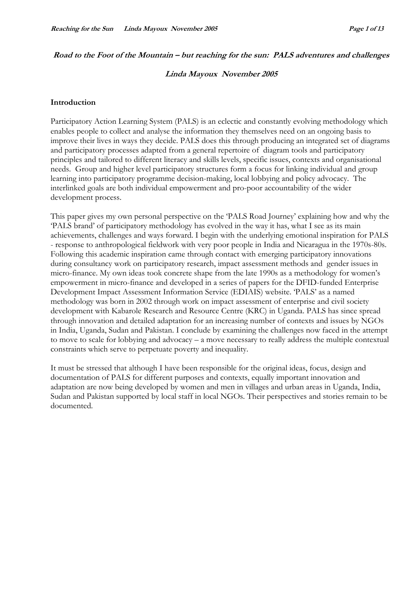### **Road to the Foot of the Mountain – but reaching for the sun: PALS adventures and challenges**

#### **Linda Mayoux November 2005**

### **Introduction**

Participatory Action Learning System (PALS) is an eclectic and constantly evolving methodology which enables people to collect and analyse the information they themselves need on an ongoing basis to improve their lives in ways they decide. PALS does this through producing an integrated set of diagrams and participatory processes adapted from a general repertoire of diagram tools and participatory principles and tailored to different literacy and skills levels, specific issues, contexts and organisational needs. Group and higher level participatory structures form a focus for linking individual and group learning into participatory programme decision-making, local lobbying and policy advocacy. The interlinked goals are both individual empowerment and pro-poor accountability of the wider development process.

This paper gives my own personal perspective on the 'PALS Road Journey' explaining how and why the 'PALS brand' of participatory methodology has evolved in the way it has, what I see as its main achievements, challenges and ways forward. I begin with the underlying emotional inspiration for PALS - response to anthropological fieldwork with very poor people in India and Nicaragua in the 1970s-80s. Following this academic inspiration came through contact with emerging participatory innovations during consultancy work on participatory research, impact assessment methods and gender issues in micro-finance. My own ideas took concrete shape from the late 1990s as a methodology for women's empowerment in micro-finance and developed in a series of papers for the DFID-funded Enterprise Development Impact Assessment Information Service (EDIAIS) website. 'PALS' as a named methodology was born in 2002 through work on impact assessment of enterprise and civil society development with Kabarole Research and Resource Centre (KRC) in Uganda. PALS has since spread through innovation and detailed adaptation for an increasing number of contexts and issues by NGOs in India, Uganda, Sudan and Pakistan. I conclude by examining the challenges now faced in the attempt to move to scale for lobbying and advocacy – a move necessary to really address the multiple contextual constraints which serve to perpetuate poverty and inequality.

It must be stressed that although I have been responsible for the original ideas, focus, design and documentation of PALS for different purposes and contexts, equally important innovation and adaptation are now being developed by women and men in villages and urban areas in Uganda, India, Sudan and Pakistan supported by local staff in local NGOs. Their perspectives and stories remain to be documented.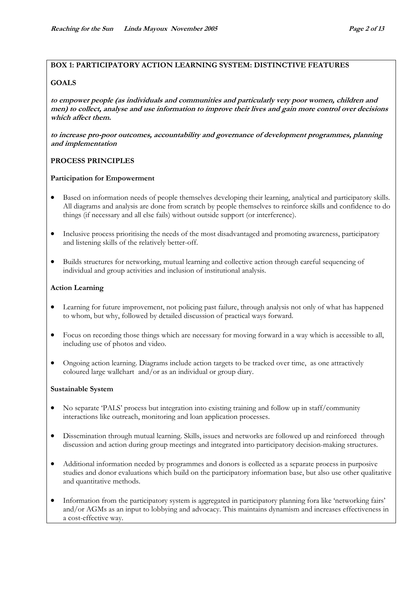### **BOX 1: PARTICIPATORY ACTION LEARNING SYSTEM: DISTINCTIVE FEATURES**

### **GOALS**

**to empower people (as individuals and communities and particularly very poor women, children and men) to collect, analyse and use information to improve their lives and gain more control over decisions which affect them.** 

**to increase pro-poor outcomes, accountability and governance of development programmes, planning and implementation** 

### **PROCESS PRINCIPLES**

### **Participation for Empowerment**

- Based on information needs of people themselves developing their learning, analytical and participatory skills. All diagrams and analysis are done from scratch by people themselves to reinforce skills and confidence to do things (if necessary and all else fails) without outside support (or interference).
- Inclusive process prioritising the needs of the most disadvantaged and promoting awareness, participatory and listening skills of the relatively better-off.
- Builds structures for networking, mutual learning and collective action through careful sequencing of individual and group activities and inclusion of institutional analysis.

### **Action Learning**

- Learning for future improvement, not policing past failure, through analysis not only of what has happened to whom, but why, followed by detailed discussion of practical ways forward.
- Focus on recording those things which are necessary for moving forward in a way which is accessible to all, including use of photos and video.
- Ongoing action learning. Diagrams include action targets to be tracked over time, as one attractively coloured large wallchart and/or as an individual or group diary.

### **Sustainable System**

- No separate 'PALS' process but integration into existing training and follow up in staff/community interactions like outreach, monitoring and loan application processes.
- Dissemination through mutual learning. Skills, issues and networks are followed up and reinforced through discussion and action during group meetings and integrated into participatory decision-making structures.
- Additional information needed by programmes and donors is collected as a separate process in purposive studies and donor evaluations which build on the participatory information base, but also use other qualitative and quantitative methods.
- Information from the participatory system is aggregated in participatory planning fora like 'networking fairs' and/or AGMs as an input to lobbying and advocacy. This maintains dynamism and increases effectiveness in a cost-effective way.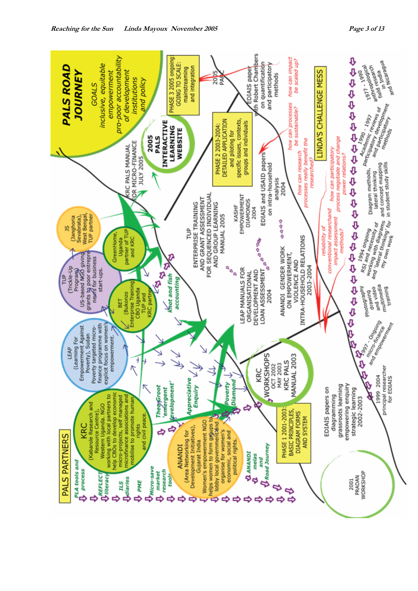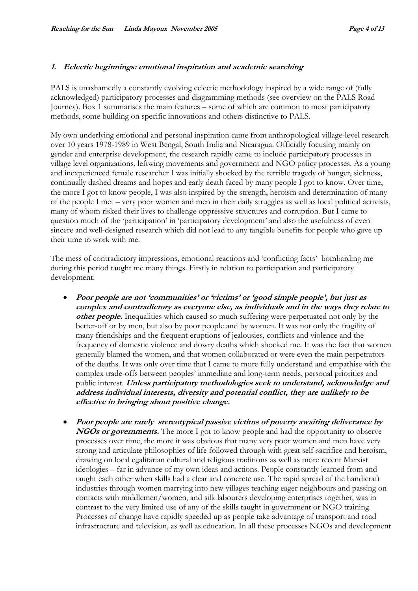### **1. Eclectic beginnings: emotional inspiration and academic searching**

PALS is unashamedly a constantly evolving eclectic methodology inspired by a wide range of (fully acknowledged) participatory processes and diagramming methods (see overview on the PALS Road Journey). Box 1 summarises the main features – some of which are common to most participatory methods, some building on specific innovations and others distinctive to PALS.

My own underlying emotional and personal inspiration came from anthropological village-level research over 10 years 1978-1989 in West Bengal, South India and Nicaragua. Officially focusing mainly on gender and enterprise development, the research rapidly came to include participatory processes in village level organizations, leftwing movements and government and NGO policy processes. As a young and inexperienced female researcher I was initially shocked by the terrible tragedy of hunger, sickness, continually dashed dreams and hopes and early death faced by many people I got to know. Over time, the more I got to know people, I was also inspired by the strength, heroism and determination of many of the people I met – very poor women and men in their daily struggles as well as local political activists, many of whom risked their lives to challenge oppressive structures and corruption. But I came to question much of the 'participation' in 'participatory development' and also the usefulness of even sincere and well-designed research which did not lead to any tangible benefits for people who gave up their time to work with me.

The mess of contradictory impressions, emotional reactions and 'conflicting facts' bombarding me during this period taught me many things. Firstly in relation to participation and participatory development:

- **Poor people are not 'communities' or 'victims' or 'good simple people', but just as complex and contradictory as everyone else, as individuals and in the ways they relate to other people.** Inequalities which caused so much suffering were perpetuated not only by the better-off or by men, but also by poor people and by women. It was not only the fragility of many friendships and the frequent eruptions of jealousies, conflicts and violence and the frequency of domestic violence and dowry deaths which shocked me. It was the fact that women generally blamed the women, and that women collaborated or were even the main perpetrators of the deaths. It was only over time that I came to more fully understand and empathise with the complex trade-offs between peoples' immediate and long-term needs, personal priorities and public interest. **Unless participatory methodologies seek to understand, acknowledge and address individual interests, diversity and potential conflict, they are unlikely to be effective in bringing about positive change.**
- **Poor people are rarely stereotypical passive victims of poverty awaiting deliverance by NGOs or governments.** The more I got to know people and had the opportunity to observe processes over time, the more it was obvious that many very poor women and men have very strong and articulate philosophies of life followed through with great self-sacrifice and heroism, drawing on local egalitarian cultural and religious traditions as well as more recent Marxist ideologies – far in advance of my own ideas and actions. People constantly learned from and taught each other when skills had a clear and concrete use. The rapid spread of the handicraft industries through women marrying into new villages teaching eager neighbours and passing on contacts with middlemen/women, and silk labourers developing enterprises together, was in contrast to the very limited use of any of the skills taught in government or NGO training. Processes of change have rapidly speeded up as people take advantage of transport and road infrastructure and television, as well as education. In all these processes NGOs and development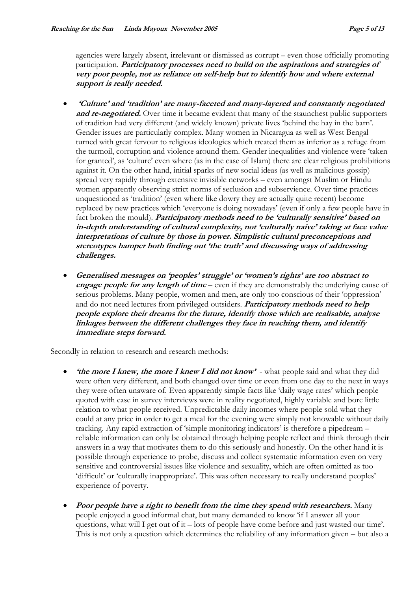agencies were largely absent, irrelevant or dismissed as corrupt – even those officially promoting participation. **Participatory processes need to build on the aspirations and strategies of very poor people, not as reliance on self-help but to identify how and where external support is really needed.**

- • **'Culture' and 'tradition' are many-faceted and many-layered and constantly negotiated and re-negotiated.** Over time it became evident that many of the staunchest public supporters of tradition had very different (and widely known) private lives 'behind the hay in the barn'. Gender issues are particularly complex. Many women in Nicaragua as well as West Bengal turned with great fervour to religious ideologies which treated them as inferior as a refuge from the turmoil, corruption and violence around them. Gender inequalities and violence were 'taken for granted', as 'culture' even where (as in the case of Islam) there are clear religious prohibitions against it. On the other hand, initial sparks of new social ideas (as well as malicious gossip) spread very rapidly through extensive invisible networks – even amongst Muslim or Hindu women apparently observing strict norms of seclusion and subservience. Over time practices unquestioned as 'tradition' (even where like dowry they are actually quite recent) become replaced by new practices which 'everyone is doing nowadays' (even if only a few people have in fact broken the mould). **Participatory methods need to be 'culturally sensitive' based on in-depth understanding of cultural complexity, not 'culturally naive' taking at face value interpretations of culture by those in power. Simplistic cultural preconceptions and stereotypes hamper both finding out 'the truth' and discussing ways of addressing challenges.**
- **Generalised messages on 'peoples' struggle' or 'women's rights' are too abstract to engage people for any length of time** – even if they are demonstrably the underlying cause of serious problems. Many people, women and men, are only too conscious of their 'oppression' and do not need lectures from privileged outsiders. **Participatory methods need to help people explore their dreams for the future, identify those which are realisable, analyse linkages between the different challenges they face in reaching them, and identify immediate steps forward.**

Secondly in relation to research and research methods:

- **'the more I knew, the more I knew I did not know'** what people said and what they did were often very different, and both changed over time or even from one day to the next in ways they were often unaware of. Even apparently simple facts like 'daily wage rates' which people quoted with ease in survey interviews were in reality negotiated, highly variable and bore little relation to what people received. Unpredictable daily incomes where people sold what they could at any price in order to get a meal for the evening were simply not knowable without daily tracking. Any rapid extraction of 'simple monitoring indicators' is therefore a pipedream – reliable information can only be obtained through helping people reflect and think through their answers in a way that motivates them to do this seriously and honestly. On the other hand it is possible through experience to probe, discuss and collect systematic information even on very sensitive and controversial issues like violence and sexuality, which are often omitted as too 'difficult' or 'culturally inappropriate'. This was often necessary to really understand peoples' experience of poverty.
- **Poor people have a right to benefit from the time they spend with researchers.** Many people enjoyed a good informal chat, but many demanded to know 'if I answer all your questions, what will I get out of it – lots of people have come before and just wasted our time'. This is not only a question which determines the reliability of any information given – but also a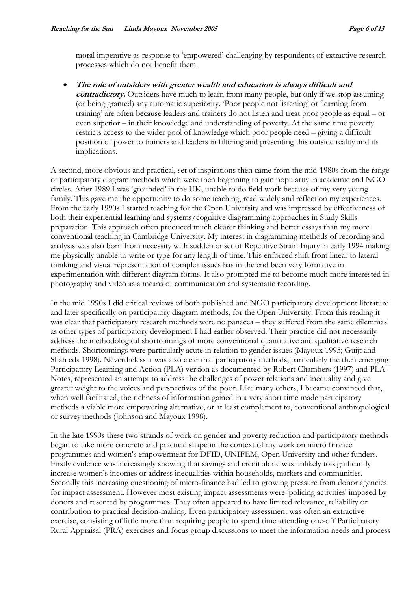moral imperative as response to 'empowered' challenging by respondents of extractive research processes which do not benefit them.

• **The role of outsiders with greater wealth and education is always difficult and contradictory.** Outsiders have much to learn from many people, but only if we stop assuming (or being granted) any automatic superiority. 'Poor people not listening' or 'learning from training' are often because leaders and trainers do not listen and treat poor people as equal – or even superior – in their knowledge and understanding of poverty. At the same time poverty restricts access to the wider pool of knowledge which poor people need – giving a difficult position of power to trainers and leaders in filtering and presenting this outside reality and its implications.

A second, more obvious and practical, set of inspirations then came from the mid-1980s from the range of participatory diagram methods which were then beginning to gain popularity in academic and NGO circles. After 1989 I was 'grounded' in the UK, unable to do field work because of my very young family. This gave me the opportunity to do some teaching, read widely and reflect on my experiences. From the early 1990s I started teaching for the Open University and was impressed by effectiveness of both their experiential learning and systems/cognitive diagramming approaches in Study Skills preparation. This approach often produced much clearer thinking and better essays than my more conventional teaching in Cambridge University. My interest in diagramming methods of recording and analysis was also born from necessity with sudden onset of Repetitive Strain Injury in early 1994 making me physically unable to write or type for any length of time. This enforced shift from linear to lateral thinking and visual representation of complex issues has in the end been very formative in experimentation with different diagram forms. It also prompted me to become much more interested in photography and video as a means of communication and systematic recording.

In the mid 1990s I did critical reviews of both published and NGO participatory development literature and later specifically on participatory diagram methods, for the Open University. From this reading it was clear that participatory research methods were no panacea – they suffered from the same dilemmas as other types of participatory development I had earlier observed. Their practice did not necessarily address the methodological shortcomings of more conventional quantitative and qualitative research methods. Shortcomings were particularly acute in relation to gender issues (Mayoux 1995; Guijt and Shah eds 1998). Nevertheless it was also clear that participatory methods, particularly the then emerging Participatory Learning and Action (PLA) version as documented by Robert Chambers (1997) and PLA Notes, represented an attempt to address the challenges of power relations and inequality and give greater weight to the voices and perspectives of the poor. Like many others, I became convinced that, when well facilitated, the richness of information gained in a very short time made participatory methods a viable more empowering alternative, or at least complement to, conventional anthropological or survey methods (Johnson and Mayoux 1998).

In the late 1990s these two strands of work on gender and poverty reduction and participatory methods began to take more concrete and practical shape in the context of my work on micro finance programmes and women's empowerment for DFID, UNIFEM, Open University and other funders. Firstly evidence was increasingly showing that savings and credit alone was unlikely to significantly increase women's incomes or address inequalities within households, markets and communities. Secondly this increasing questioning of micro-finance had led to growing pressure from donor agencies for impact assessment. However most existing impact assessments were 'policing activities' imposed by donors and resented by programmes. They often appeared to have limited relevance, reliability or contribution to practical decision-making. Even participatory assessment was often an extractive exercise, consisting of little more than requiring people to spend time attending one-off Participatory Rural Appraisal (PRA) exercises and focus group discussions to meet the information needs and process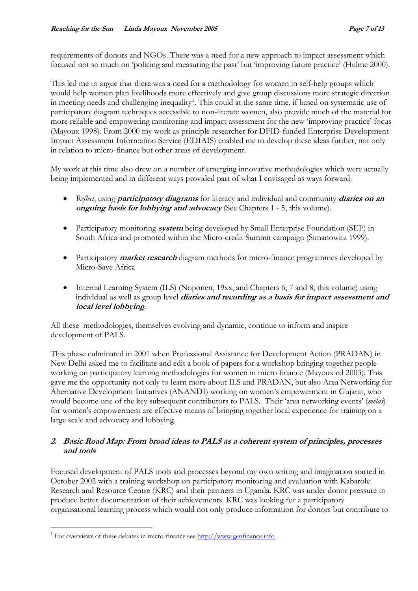requirements of donors and NGOs. There was a need for a new approach to impact assessment which focused not so much on 'policing and measuring the past' but 'improving future practice' (Hulme 2000).

This led me to argue that there was a need for a methodology for women in self-help groups which would help women plan livelihoods more effectively and give group discussions more strategic direction in meeting needs and challenging inequality<sup>[1](#page-6-0)</sup>. This could at the same time, if based on systematic use of participatory diagram techniques accessible to non-literate women, also provide much of the material for more reliable and empowering monitoring and impact assessment for the new 'improving practice' focus (Mayoux 1998). From 2000 my work as principle researcher for DFID-funded Enterprise Development Impact Assessment Information Service (EDIAIS) enabled me to develop these ideas further, not only in relation to micro-finance but other areas of development.

My work at this time also drew on a number of emerging innovative methodologies which were actually being implemented and in different ways provided part of what I envisaged as ways forward:

- *Reflect*, using **participatory diagrams** for literacy and individual and community **diaries on an ongoing basis for lobbying and advocacy** (See Chapters 1 - 5, this volume).
- Participatory monitoring **system** being developed by Small Enterprise Foundation (SEF) in South Africa and promoted within the Micro-credit Summit campaign (Simanowitz 1999).
- Participatory **market research** diagram methods for micro-finance programmes developed by Micro-Save Africa
- Internal Learning System (ILS) (Noponen, 19xx, and Chapters 6, 7 and 8, this volume) using individual as well as group level **diaries and recording as a basis for impact assessment and local level lobbying**.

All these methodologies, themselves evolving and dynamic, continue to inform and inspire development of PALS.

This phase culminated in 2001 when Professional Assistance for Development Action (PRADAN) in New Delhi asked me to facilitate and edit a book of papers for a workshop bringing together people working on participatory learning methodologies for women in micro finance (Mayoux ed 2003). This gave me the opportunity not only to learn more about ILS and PRADAN, but also Area Networking for Alternative Development Initiatives (ANANDI) working on women's empowerment in Gujarat, who would become one of the key subsequent contributors to PALS. Their 'area networking events' (*melas*) for women's empowerment are effective means of bringing together local experience for training on a large scale and advocacy and lobbying.

# **2. Basic Road Map: From broad ideas to PALS as a coherent system of principles, processes and tools**

Focused development of PALS tools and processes beyond my own writing and imagination started in October 2002 with a training workshop on participatory monitoring and evaluation with Kabarole Research and Resource Centre (KRC) and their partners in Uganda. KRC was under donor pressure to produce better documentation of their achievements. KRC was looking for a participatory organisational learning process which would not only produce information for donors but contribute to

<u>.</u>

<span id="page-6-0"></span><sup>&</sup>lt;sup>1</sup> For overviews of these debates in micro-finance see  $\frac{\text{http://www.gen finance.info}}{\text{http://www.gen finance.info}}$ .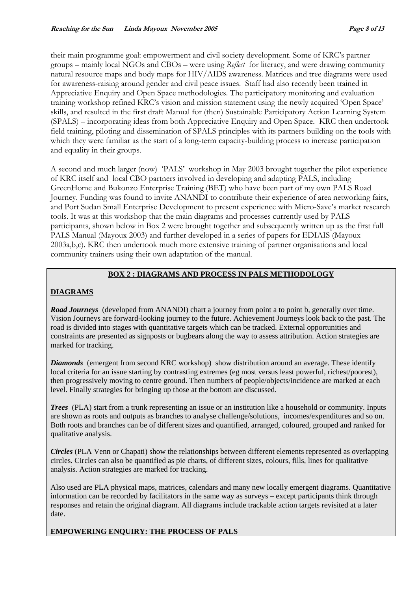their main programme goal: empowerment and civil society development. Some of KRC's partner groups – mainly local NGOs and CBOs – were using *Reflect* for literacy, and were drawing community natural resource maps and body maps for HIV/AIDS awareness. Matrices and tree diagrams were used for awareness-raising around gender and civil peace issues. Staff had also recently been trained in Appreciative Enquiry and Open Space methodologies. The participatory monitoring and evaluation training workshop refined KRC's vision and mission statement using the newly acquired 'Open Space' skills, and resulted in the first draft Manual for (then) Sustainable Participatory Action Learning System (SPALS) – incorporating ideas from both Appreciative Enquiry and Open Space. KRC then undertook field training, piloting and dissemination of SPALS principles with its partners building on the tools with which they were familiar as the start of a long-term capacity-building process to increase participation and equality in their groups.

A second and much larger (now) 'PALS' workshop in May 2003 brought together the pilot experience of KRC itself and local CBO partners involved in developing and adapting PALS, including GreenHome and Bukonzo Enterprise Training (BET) who have been part of my own PALS Road Journey. Funding was found to invite ANANDI to contribute their experience of area networking fairs, and Port Sudan Small Enterprise Development to present experience with Micro-Save's market research tools. It was at this workshop that the main diagrams and processes currently used by PALS participants, shown below in Box 2 were brought together and subsequently written up as the first full PALS Manual (Mayoux 2003) and further developed in a series of papers for EDIAIS (Mayoux 2003a,b,c). KRC then undertook much more extensive training of partner organisations and local community trainers using their own adaptation of the manual.

## **BOX 2 : DIAGRAMS AND PROCESS IN PALS METHODOLOGY**

## **DIAGRAMS**

*Road Journeys* (developed from ANANDI) chart a journey from point a to point b, generally over time. Vision Journeys are forward-looking journey to the future. Achievement Journeys look back to the past. The road is divided into stages with quantitative targets which can be tracked. External opportunities and constraints are presented as signposts or bugbears along the way to assess attribution. Action strategies are marked for tracking.

*Diamonds* (emergent from second KRC workshop) show distribution around an average. These identify local criteria for an issue starting by contrasting extremes (eg most versus least powerful, richest/poorest), then progressively moving to centre ground. Then numbers of people/objects/incidence are marked at each level. Finally strategies for bringing up those at the bottom are discussed.

*Trees* (PLA) start from a trunk representing an issue or an institution like a household or community. Inputs are shown as roots and outputs as branches to analyse challenge/solutions, incomes/expenditures and so on. Both roots and branches can be of different sizes and quantified, arranged, coloured, grouped and ranked for qualitative analysis.

*Circles* (PLA Venn or Chapati) show the relationships between different elements represented as overlapping circles. Circles can also be quantified as pie charts, of different sizes, colours, fills, lines for qualitative analysis. Action strategies are marked for tracking.

Also used are PLA physical maps, matrices, calendars and many new locally emergent diagrams. Quantitative information can be recorded by facilitators in the same way as surveys – except participants think through responses and retain the original diagram. All diagrams include trackable action targets revisited at a later date.

### **EMPOWERING ENQUIRY: THE PROCESS OF PALS**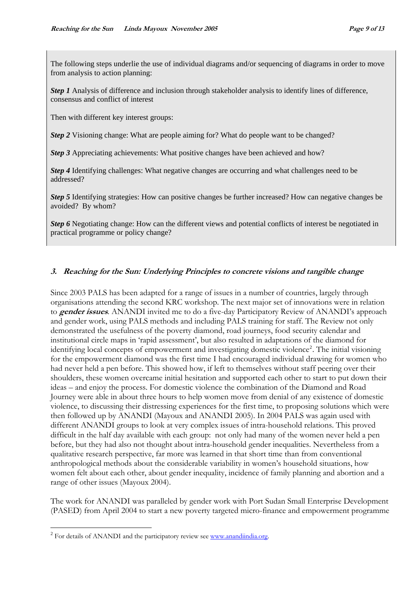The following steps underlie the use of individual diagrams and/or sequencing of diagrams in order to move from analysis to action planning:

*Step 1* Analysis of difference and inclusion through stakeholder analysis to identify lines of difference, consensus and conflict of interest

Then with different key interest groups:

**Step 2** Visioning change: What are people aiming for? What do people want to be changed?

*Step 3* Appreciating achievements: What positive changes have been achieved and how?

*Step 4* Identifying challenges: What negative changes are occurring and what challenges need to be addressed?

*Step 5* Identifying strategies: How can positive changes be further increased? How can negative changes be avoided? By whom?

*Step 6* Negotiating change: How can the different views and potential conflicts of interest be negotiated in practical programme or policy change?

## **3. Reaching for the Sun: Underlying Principles to concrete visions and tangible change**

Since 2003 PALS has been adapted for a range of issues in a number of countries, largely through organisations attending the second KRC workshop. The next major set of innovations were in relation to **gender issues**. ANANDI invited me to do a five-day Participatory Review of ANANDI's approach and gender work, using PALS methods and including PALS training for staff. The Review not only demonstrated the usefulness of the poverty diamond, road journeys, food security calendar and institutional circle maps in 'rapid assessment', but also resulted in adaptations of the diamond for identifying local concepts of empowerment and investigating domestic violence<sup>[2](#page-8-0)</sup>. The initial visioning for the empowerment diamond was the first time I had encouraged individual drawing for women who had never held a pen before. This showed how, if left to themselves without staff peering over their shoulders, these women overcame initial hesitation and supported each other to start to put down their ideas – and enjoy the process. For domestic violence the combination of the Diamond and Road Journey were able in about three hours to help women move from denial of any existence of domestic violence, to discussing their distressing experiences for the first time, to proposing solutions which were then followed up by ANANDI (Mayoux and ANANDI 2005). In 2004 PALS was again used with different ANANDI groups to look at very complex issues of intra-household relations. This proved difficult in the half day available with each group: not only had many of the women never held a pen before, but they had also not thought about intra-household gender inequalities. Nevertheless from a qualitative research perspective, far more was learned in that short time than from conventional anthropological methods about the considerable variability in women's household situations, how women felt about each other, about gender inequality, incidence of family planning and abortion and a range of other issues (Mayoux 2004).

The work for ANANDI was paralleled by gender work with Port Sudan Small Enterprise Development (PASED) from April 2004 to start a new poverty targeted micro-finance and empowerment programme

<u>.</u>

<span id="page-8-0"></span> $2^{2}$  For details of ANANDI and the participatory review see [www.anandiindia.org](http://www.anandiindia.org/).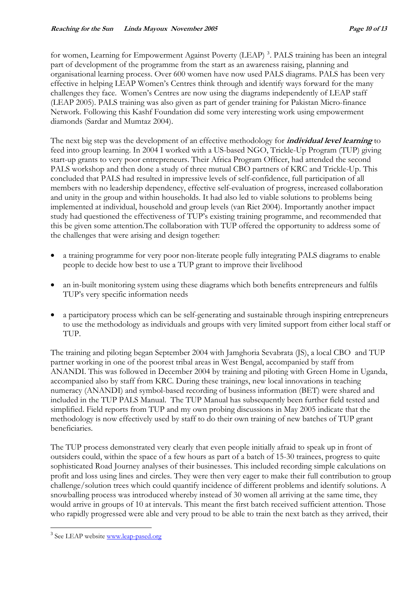for women, Learning for Empowerment Against Poverty (LEAP)<sup>[3](#page-9-0)</sup>. PALS training has been an integral part of development of the programme from the start as an awareness raising, planning and organisational learning process. Over 600 women have now used PALS diagrams. PALS has been very effective in helping LEAP Women's Centres think through and identify ways forward for the many challenges they face. Women's Centres are now using the diagrams independently of LEAP staff (LEAP 2005). PALS training was also given as part of gender training for Pakistan Micro-finance Network. Following this Kashf Foundation did some very interesting work using empowerment diamonds (Sardar and Mumtaz 2004).

The next big step was the development of an effective methodology for **individual level learning** to feed into group learning. In 2004 I worked with a US-based NGO, Trickle-Up Program (TUP) giving start-up grants to very poor entrepreneurs. Their Africa Program Officer, had attended the second PALS workshop and then done a study of three mutual CBO partners of KRC and Trickle-Up. This concluded that PALS had resulted in impressive levels of self-confidence, full participation of all members with no leadership dependency, effective self-evaluation of progress, increased collaboration and unity in the group and within households. It had also led to viable solutions to problems being implemented at individual, household and group levels (van Riet 2004). Importantly another impact study had questioned the effectiveness of TUP's existing training programme, and recommended that this be given some attention.The collaboration with TUP offered the opportunity to address some of the challenges that were arising and design together:

- a training programme for very poor non-literate people fully integrating PALS diagrams to enable people to decide how best to use a TUP grant to improve their livelihood
- an in-built monitoring system using these diagrams which both benefits entrepreneurs and fulfils TUP's very specific information needs
- a participatory process which can be self-generating and sustainable through inspiring entrepreneurs to use the methodology as individuals and groups with very limited support from either local staff or TUP.

The training and piloting began September 2004 with Jamghoria Sevabrata (JS), a local CBO and TUP partner working in one of the poorest tribal areas in West Bengal, accompanied by staff from ANANDI. This was followed in December 2004 by training and piloting with Green Home in Uganda, accompanied also by staff from KRC. During these trainings, new local innovations in teaching numeracy (ANANDI) and symbol-based recording of business information (BET) were shared and included in the TUP PALS Manual. The TUP Manual has subsequently been further field tested and simplified. Field reports from TUP and my own probing discussions in May 2005 indicate that the methodology is now effectively used by staff to do their own training of new batches of TUP grant beneficiaries.

The TUP process demonstrated very clearly that even people initially afraid to speak up in front of outsiders could, within the space of a few hours as part of a batch of 15-30 trainees, progress to quite sophisticated Road Journey analyses of their businesses. This included recording simple calculations on profit and loss using lines and circles. They were then very eager to make their full contribution to group challenge/solution trees which could quantify incidence of different problems and identify solutions. A snowballing process was introduced whereby instead of 30 women all arriving at the same time, they would arrive in groups of 10 at intervals. This meant the first batch received sufficient attention. Those who rapidly progressed were able and very proud to be able to train the next batch as they arrived, their

<u>.</u>

<span id="page-9-0"></span><sup>&</sup>lt;sup>3</sup> See LEAP website [www.leap-pased.org](http://www.leap-pased.org/)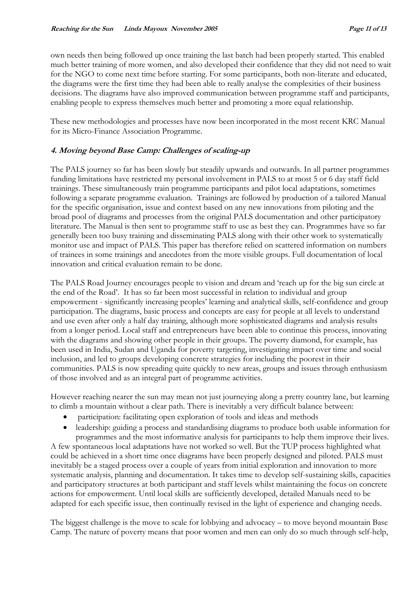own needs then being followed up once training the last batch had been properly started. This enabled much better training of more women, and also developed their confidence that they did not need to wait for the NGO to come next time before starting. For some participants, both non-literate and educated, the diagrams were the first time they had been able to really analyse the complexities of their business decisions. The diagrams have also improved communication between programme staff and participants, enabling people to express themselves much better and promoting a more equal relationship.

These new methodologies and processes have now been incorporated in the most recent KRC Manual for its Micro-Finance Association Programme.

# **4. Moving beyond Base Camp: Challenges of scaling-up**

The PALS journey so far has been slowly but steadily upwards and outwards. In all partner programmes funding limitations have restricted my personal involvement in PALS to at most 5 or 6 day staff field trainings. These simultaneously train programme participants and pilot local adaptations, sometimes following a separate programme evaluation. Trainings are followed by production of a tailored Manual for the specific organisation, issue and context based on any new innovations from piloting and the broad pool of diagrams and processes from the original PALS documentation and other participatory literature. The Manual is then sent to programme staff to use as best they can. Programmes have so far generally been too busy training and disseminating PALS along with their other work to systematically monitor use and impact of PALS. This paper has therefore relied on scattered information on numbers of trainees in some trainings and anecdotes from the more visible groups. Full documentation of local innovation and critical evaluation remain to be done.

The PALS Road Journey encourages people to vision and dream and 'reach up for the big sun circle at the end of the Road'. It has so far been most successful in relation to individual and group empowerment - significantly increasing peoples' learning and analytical skills, self-confidence and group participation. The diagrams, basic process and concepts are easy for people at all levels to understand and use even after only a half day training, although more sophisticated diagrams and analysis results from a longer period. Local staff and entrepreneurs have been able to continue this process, innovating with the diagrams and showing other people in their groups. The poverty diamond, for example, has been used in India, Sudan and Uganda for poverty targeting, investigating impact over time and social inclusion, and led to groups developing concrete strategies for including the poorest in their communities. PALS is now spreading quite quickly to new areas, groups and issues through enthusiasm of those involved and as an integral part of programme activities.

However reaching nearer the sun may mean not just journeying along a pretty country lane, but learning to climb a mountain without a clear path. There is inevitably a very difficult balance between:

- participation: facilitating open exploration of tools and ideas and methods
- leadership: guiding a process and standardising diagrams to produce both usable information for programmes and the most informative analysis for participants to help them improve their lives.

A few spontaneous local adaptations have not worked so well. But the TUP process highlighted what could be achieved in a short time once diagrams have been properly designed and piloted. PALS must inevitably be a staged process over a couple of years from initial exploration and innovation to more systematic analysis, planning and documentation. It takes time to develop self-sustaining skills, capacities and participatory structures at both participant and staff levels whilst maintaining the focus on concrete actions for empowerment. Until local skills are sufficiently developed, detailed Manuals need to be adapted for each specific issue, then continually revised in the light of experience and changing needs.

The biggest challenge is the move to scale for lobbying and advocacy – to move beyond mountain Base Camp. The nature of poverty means that poor women and men can only do so much through self-help,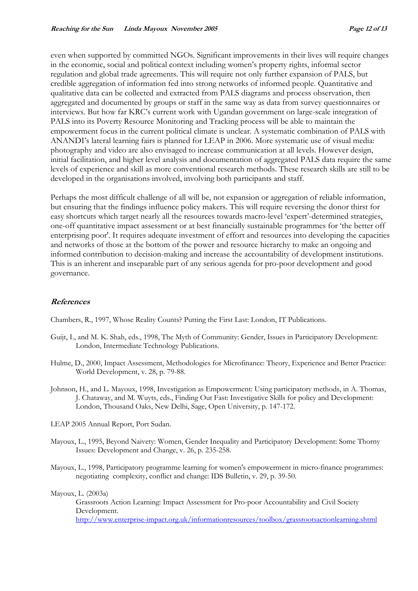even when supported by committed NGOs. Significant improvements in their lives will require changes in the economic, social and political context including women's property rights, informal sector regulation and global trade agreements. This will require not only further expansion of PALS, but credible aggregation of information fed into strong networks of informed people. Quantitative and qualitative data can be collected and extracted from PALS diagrams and process observation, then aggregated and documented by groups or staff in the same way as data from survey questionnaires or interviews. But how far KRC's current work with Ugandan government on large-scale integration of PALS into its Poverty Resource Monitoring and Tracking process will be able to maintain the empowerment focus in the current political climate is unclear. A systematic combination of PALS with ANANDI's lateral learning fairs is planned for LEAP in 2006. More systematic use of visual media: photography and video are also envisaged to increase communication at all levels. However design, initial facilitation, and higher level analysis and documentation of aggregated PALS data require the same levels of experience and skill as more conventional research methods. These research skills are still to be developed in the organisations involved, involving both participants and staff.

Perhaps the most difficult challenge of all will be, not expansion or aggregation of reliable information, but ensuring that the findings influence policy makers. This will require reversing the donor thirst for easy shortcuts which target nearly all the resources towards macro-level 'expert'-determined strategies, one-off quantitative impact assessment or at best financially sustainable programmes for 'the better off enterprising poor'. It requires adequate investment of effort and resources into developing the capacities and networks of those at the bottom of the power and resource hierarchy to make an ongoing and informed contribution to decision-making and increase the accountability of development institutions. This is an inherent and inseparable part of any serious agenda for pro-poor development and good governance.

# **References**

Chambers, R., 1997, Whose Reality Counts? Putting the First Last: London, IT Publications.

- Guijt, I., and M. K. Shah, eds., 1998, The Myth of Community: Gender, Issues in Participatory Development: London, Intermediate Technology Publications.
- Hulme, D., 2000, Impact Assessment, Methodologies for Microfinance: Theory, Experience and Better Practice: World Development, v. 28, p. 79-88.
- Johnson, H., and L. Mayoux, 1998, Investigation as Empowerment: Using participatory methods, in A. Thomas, J. Chataway, and M. Wuyts, eds., Finding Out Fast: Investigative Skills for policy and Development: London, Thousand Oaks, New Delhi, Sage, Open University, p. 147-172.
- LEAP 2005 Annual Report, Port Sudan.
- Mayoux, L., 1995, Beyond Naivety: Women, Gender Inequality and Participatory Development: Some Thorny Issues: Development and Change, v. 26, p. 235-258.
- Mayoux, L., 1998, Participatory programme learning for women's empowerment in micro-finance programmes: negotiating complexity, conflict and change: IDS Bulletin, v. 29, p. 39-50.

#### Mayoux, L. (2003a)

Grassroots Action Learning: Impact Assessment for Pro-poor Accountability and Civil Society Development. <http://www.enterprise-impact.org.uk/informationresources/toolbox/grassrootsactionlearning.shtml>